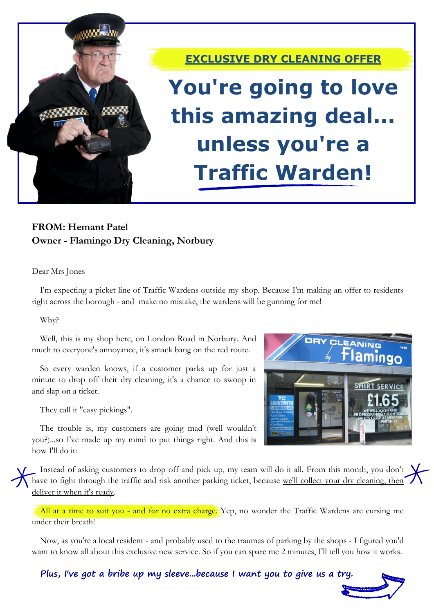

**EXCLUSIVE DRY CLEANING OFFER**

# **You're going to love this amazing deal... unless you're a Traffic Warden!**

## **FROM: Hemant Patel Owner - Flamingo Dry Cleaning, Norbury**

#### Dear Mrs Jones

I'm expecting a picket line of Traffic Wardens outside my shop. Because I'm making an offer to residents right across the borough - and make no mistake, the wardens will be gunning for me!

#### Why?

Well, this is my shop here, on London Road in Norbury. And much to everyone's annoyance, it's smack bang on the red route.

So every warden knows, if a customer parks up for just a minute to drop off their dry cleaning, it's a chance to swoop in and slap on a ticket.

They call it "easy pickings".

The trouble is, my customers are going mad (well wouldn't you?)...so I've made up my mind to put things right. And this is how I'll do it:



Instead of asking customers to drop off and pick up, my team will do it all. From this month, you don't have to fight through the traffic and risk another parking ticket, because we'll collect your dry cleaning, then deliver it when it's ready.

All at a time to suit you - and for no extra charge. Yep, no wonder the Traffic Wardens are cursing me under their breath!

Now, as you're a local resident - and probably used to the traumas of parking by the shops - I figured you'd want to know all about this exclusive new service. So if you can spare me 2 minutes, I'll tell you how it works.

**Plus, I've got a bribe up my sleeve...because I want you to give us a try.**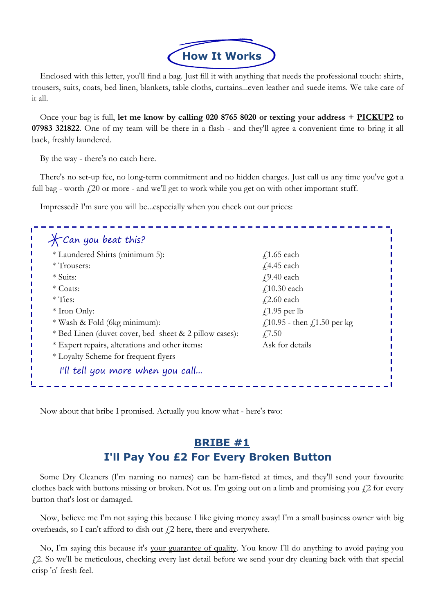

Enclosed with this letter, you'll find a bag. Just fill it with anything that needs the professional touch: shirts, trousers, suits, coats, bed linen, blankets, table cloths, curtains...even leather and suede items. We take care of it all.

Once your bag is full, **let me know by calling 020 8765 8020 or texting your address + PICKUP2 to 07983 321822**. One of my team will be there in a flash - and they'll agree a convenient time to bring it all back, freshly laundered.

By the way - there's no catch here.

There's no set-up fee, no long-term commitment and no hidden charges. Just call us any time you've got a full bag - worth  $f(20)$  or more - and we'll get to work while you get on with other important stuff.

Impressed? I'm sure you will be...especially when you check out our prices:

| * Laundered Shirts (minimum 5):                        | $f$ 1.65 each                                                        |
|--------------------------------------------------------|----------------------------------------------------------------------|
| * Trousers:                                            | $\sqrt{4.45}$ each                                                   |
| * Suits:                                               | $\sqrt{9.40}$ each                                                   |
| * Coats:                                               | $\text{\textsterling}10.30$ each                                     |
| $*$ Ties:                                              | $\sqrt{2.60}$ each                                                   |
| $*$ Iron Only:                                         | $\sqrt{1.95}$ per lb                                                 |
| * Wash & Fold (6kg minimum):                           | $\text{\textsterling}10.95$ - then $\text{\textsterling}1.50$ per kg |
| * Bed Linen (duvet cover, bed sheet & 2 pillow cases): | $\sqrt{7.50}$                                                        |
| * Expert repairs, alterations and other items:         | Ask for details                                                      |
| * Loyalty Scheme for frequent flyers                   |                                                                      |

Now about that bribe I promised. Actually you know what - here's two:

# **BRIBE #1 I'll Pay You £2 For Every Broken Button**

Some Dry Cleaners (I'm naming no names) can be ham-fisted at times, and they'll send your favourite clothes back with buttons missing or broken. Not us. I'm going out on a limb and promising you  $\zeta$ ? for every button that's lost or damaged.

Now, believe me I'm not saying this because I like giving money away! I'm a small business owner with big overheads, so I can't afford to dish out  $f$ 2 here, there and everywhere.

No, I'm saying this because it's your guarantee of quality. You know I'll do anything to avoid paying you £2. So we'll be meticulous, checking every last detail before we send your dry cleaning back with that special crisp 'n' fresh feel.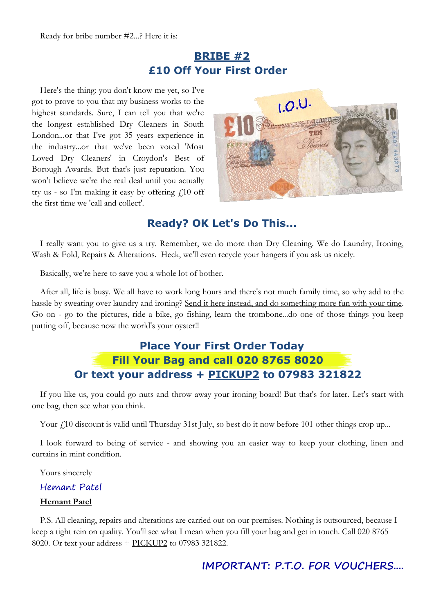# **BRIBE #2 £10 Off Your First Order**

Here's the thing: you don't know me yet, so I've got to prove to you that my business works to the highest standards. Sure, I can tell you that we're the longest established Dry Cleaners in South London...or that I've got 35 years experience in the industry...or that we've been voted 'Most Loved Dry Cleaners' in Croydon's Best of Borough Awards. But that's just reputation. You won't believe we're the real deal until you actually try us - so I'm making it easy by offering  $f(10)$  off the first time we 'call and collect'.



### **Ready? OK Let's Do This...**

I really want you to give us a try. Remember, we do more than Dry Cleaning. We do Laundry, Ironing, Wash & Fold, Repairs & Alterations. Heck, we'll even recycle your hangers if you ask us nicely.

Basically, we're here to save you a whole lot of bother.

After all, life is busy. We all have to work long hours and there's not much family time, so why add to the hassle by sweating over laundry and ironing? Send it here instead, and do something more fun with your time. Go on - go to the pictures, ride a bike, go fishing, learn the trombone...do one of those things you keep putting off, because now the world's your oyster!!

# **Place Your First Order Today Fill Your Bag and call 020 8765 8020 Or text your address + PICKUP2 to 07983 321822**

If you like us, you could go nuts and throw away your ironing board! But that's for later. Let's start with one bag, then see what you think.

Your  $f_1$ 10 discount is valid until Thursday 31st July, so best do it now before 101 other things crop up...

I look forward to being of service - and showing you an easier way to keep your clothing, linen and curtains in mint condition.

Yours sincerely

#### Hemant Patel

#### **Hemant Patel**

P.S. All cleaning, repairs and alterations are carried out on our premises. Nothing is outsourced, because I keep a tight rein on quality. You'll see what I mean when you fill your bag and get in touch. Call 020 8765 8020. Or text your address + PICKUP2 to 07983 321822.

### **IMPORTANT: P.T.O. FOR VOUCHERS....**